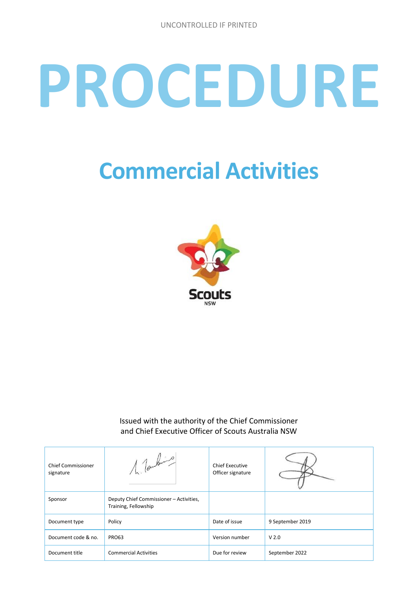# **PROCEDURE**

# **Commercial Activities**



Issued with the authority of the Chief Commissioner and Chief Executive Officer of Scouts Australia NSW

| <b>Chief Commissioner</b><br>signature | 1 Touter                                                        | <b>Chief Executive</b><br>Officer signature |                  |
|----------------------------------------|-----------------------------------------------------------------|---------------------------------------------|------------------|
| Sponsor                                | Deputy Chief Commissioner - Activities,<br>Training, Fellowship |                                             |                  |
| Document type                          | Policy                                                          | Date of issue                               | 9 September 2019 |
| Document code & no.                    | <b>PRO63</b>                                                    | Version number                              | V <sub>2.0</sub> |
| Document title                         | <b>Commercial Activities</b>                                    | Due for review                              | September 2022   |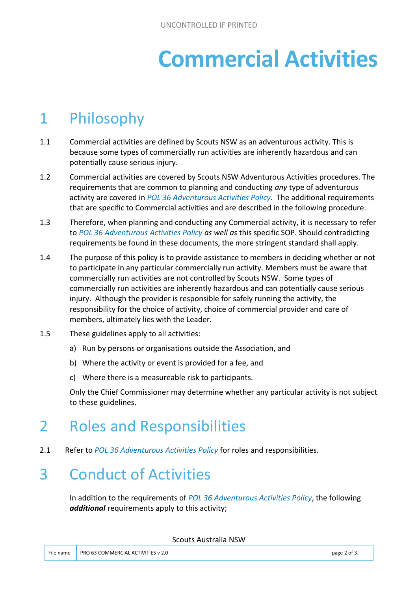# **Commercial Activities**

# 1 Philosophy

- 1.1 Commercial activities are defined by Scouts NSW as an adventurous activity. This is because some types of commercially run activities are inherently hazardous and can potentially cause serious injury.
- 1.2 Commercial activities are covered by Scouts NSW Adventurous Activities procedures. The requirements that are common to planning and conducting *any* type of adventurous activity are covered in *POL 36 Adventurous Activities Policy*. The additional requirements that are specific to Commercial activities and are described in the following procedure.
- 1.3 Therefore, when planning and conducting any Commercial activity, it is necessary to refer to *POL 36 Adventurous Activities Policy as well as* this specific SOP. Should contradicting requirements be found in these documents, the more stringent standard shall apply.
- 1.4 The purpose of this policy is to provide assistance to members in deciding whether or not to participate in any particular commercially run activity. Members must be aware that commercially run activities are not controlled by Scouts NSW. Some types of commercially run activities are inherently hazardous and can potentially cause serious injury. Although the provider is responsible for safely running the activity, the responsibility for the choice of activity, choice of commercial provider and care of members, ultimately lies with the Leader.
- 1.5 These guidelines apply to all activities:
	- a) Run by persons or organisations outside the Association, and
	- b) Where the activity or event is provided for a fee, and
	- c) Where there is a measureable risk to participants.

Only the Chief Commissioner may determine whether any particular activity is not subject to these guidelines.

# 2 Roles and Responsibilities

2.1 Refer to *POL 36 Adventurous Activities Policy* for roles and responsibilities.

#### 3 Conduct of Activities

In addition to the requirements of *POL 36 Adventurous Activities Policy*, the following *additional* requirements apply to this activity;

Scouts Australia NSW